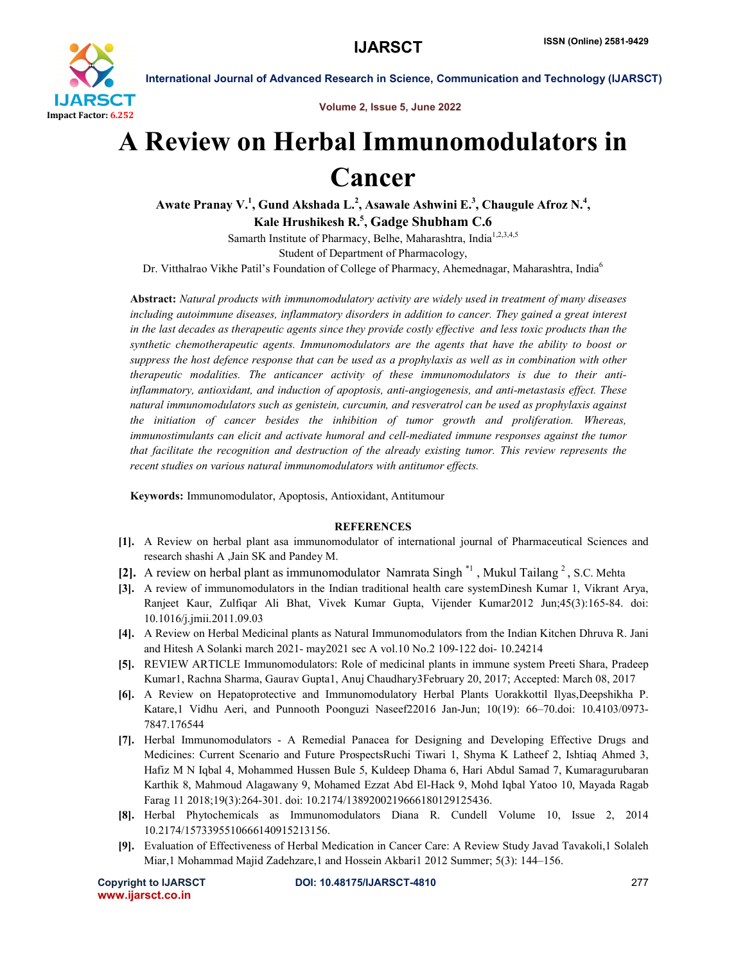

International Journal of Advanced Research in Science, Communication and Technology (IJARSCT)

Volume 2, Issue 5, June 2022

## A Review on Herbal Immunomodulators in Cancer

Awate Pranay V.<sup>1</sup>, Gund Akshada L.<sup>2</sup>, Asawale Ashwini E.<sup>3</sup>, Chaugule Afroz N.<sup>4</sup>, Kale Hrushikesh R.<sup>5</sup>, Gadge Shubham C.6

Samarth Institute of Pharmacy, Belhe, Maharashtra, India<sup>1,2,3,4,5</sup> Student of Department of Pharmacology,

Dr. Vitthalrao Vikhe Patil's Foundation of College of Pharmacy, Ahemednagar, Maharashtra, India<sup>6</sup>

Abstract: *Natural products with immunomodulatory activity are widely used in treatment of many diseases including autoimmune diseases, inflammatory disorders in addition to cancer. They gained a great interest in the last decades as therapeutic agents since they provide costly effective and less toxic products than the synthetic chemotherapeutic agents. Immunomodulators are the agents that have the ability to boost or suppress the host defence response that can be used as a prophylaxis as well as in combination with other therapeutic modalities. The anticancer activity of these immunomodulators is due to their antiinflammatory, antioxidant, and induction of apoptosis, anti-angiogenesis, and anti-metastasis effect. These natural immunomodulators such as genistein, curcumin, and resveratrol can be used as prophylaxis against the initiation of cancer besides the inhibition of tumor growth and proliferation. Whereas, immunostimulants can elicit and activate humoral and cell-mediated immune responses against the tumor that facilitate the recognition and destruction of the already existing tumor. This review represents the recent studies on various natural immunomodulators with antitumor effects.*

Keywords: Immunomodulator, Apoptosis, Antioxidant, Antitumour

## **REFERENCES**

- [1]. A Review on herbal plant asa immunomodulator of international journal of Pharmaceutical Sciences and research shashi A ,Jain SK and Pandey M.
- [2]. A review on herbal plant as immunomodulator Namrata Singh  $*1$ , Mukul Tailang  $2$ , S.C. Mehta
- [3]. A review of immunomodulators in the Indian traditional health care systemDinesh Kumar 1, Vikrant Arya, Ranjeet Kaur, Zulfiqar Ali Bhat, Vivek Kumar Gupta, Vijender Kumar2012 Jun;45(3):165-84. doi: 10.1016/j.jmii.2011.09.03
- [4]. A Review on Herbal Medicinal plants as Natural Immunomodulators from the Indian Kitchen Dhruva R. Jani and Hitesh A Solanki march 2021- may2021 sec A vol.10 No.2 109-122 doi- 10.24214
- [5]. REVIEW ARTICLE Immunomodulators: Role of medicinal plants in immune system Preeti Shara, Pradeep Kumar1, Rachna Sharma, Gaurav Gupta1, Anuj Chaudhary3February 20, 2017; Accepted: March 08, 2017
- [6]. A Review on Hepatoprotective and Immunomodulatory Herbal Plants Uorakkottil Ilyas,Deepshikha P. Katare,1 Vidhu Aeri, and Punnooth Poonguzi Naseef22016 Jan-Jun; 10(19): 66–70.doi: 10.4103/0973- 7847.176544
- [7]. Herbal Immunomodulators A Remedial Panacea for Designing and Developing Effective Drugs and Medicines: Current Scenario and Future ProspectsRuchi Tiwari 1, Shyma K Latheef 2, Ishtiaq Ahmed 3, Hafiz M N Iqbal 4, Mohammed Hussen Bule 5, Kuldeep Dhama 6, Hari Abdul Samad 7, Kumaragurubaran Karthik 8, Mahmoud Alagawany 9, Mohamed Ezzat Abd El-Hack 9, Mohd Iqbal Yatoo 10, Mayada Ragab Farag 11 2018;19(3):264-301. doi: 10.2174/1389200219666180129125436.
- [8]. Herbal Phytochemicals as Immunomodulators Diana R. Cundell Volume 10, Issue 2, 2014 10.2174/1573395510666140915213156.
- [9]. Evaluation of Effectiveness of Herbal Medication in Cancer Care: A Review Study Javad Tavakoli,1 Solaleh Miar,1 Mohammad Majid Zadehzare,1 and Hossein Akbari1 2012 Summer; 5(3): 144–156.

www.ijarsct.co.in